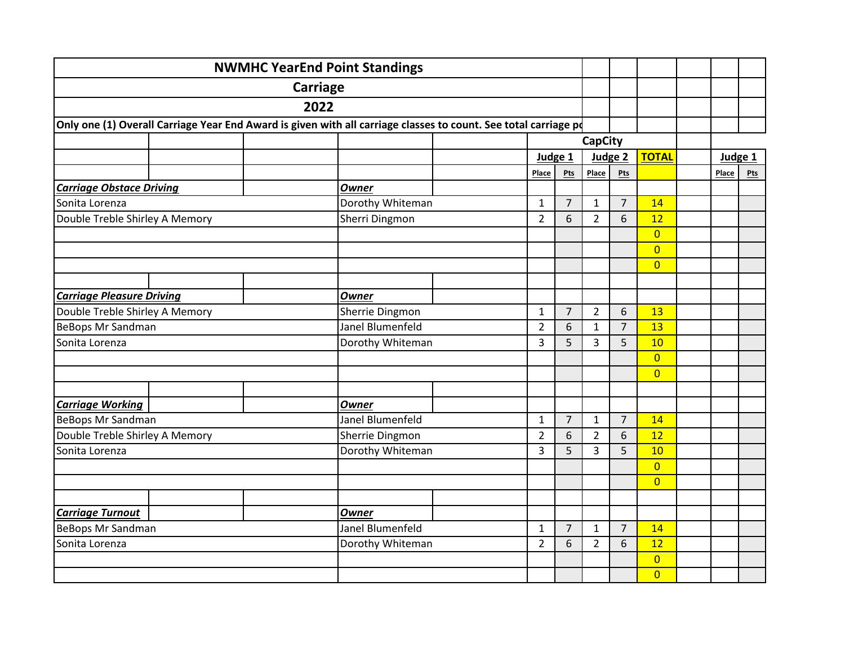|                                  |                                                                                                                 | <b>NWMHC YearEnd Point Standings</b> |                  |                |                |                |                |                |         |     |
|----------------------------------|-----------------------------------------------------------------------------------------------------------------|--------------------------------------|------------------|----------------|----------------|----------------|----------------|----------------|---------|-----|
|                                  |                                                                                                                 | <b>Carriage</b>                      |                  |                |                |                |                |                |         |     |
|                                  |                                                                                                                 | 2022                                 |                  |                |                |                |                |                |         |     |
|                                  | Only one (1) Overall Carriage Year End Award is given with all carriage classes to count. See total carriage po |                                      |                  |                |                |                |                |                |         |     |
|                                  |                                                                                                                 |                                      |                  |                |                | <b>CapCity</b> |                |                |         |     |
|                                  |                                                                                                                 |                                      |                  | Judge 1        |                |                | Judge 2        | <b>TOTAL</b>   | Judge 1 |     |
|                                  |                                                                                                                 |                                      |                  | Place          | <b>Pts</b>     | Place          | Pts            |                | Place   | Pts |
| <b>Carriage Obstace Driving</b>  |                                                                                                                 |                                      | <b>Owner</b>     |                |                |                |                |                |         |     |
| Sonita Lorenza                   |                                                                                                                 |                                      | Dorothy Whiteman | $\mathbf{1}$   | $\overline{7}$ | $\mathbf{1}$   | $\overline{7}$ | 14             |         |     |
| Double Treble Shirley A Memory   |                                                                                                                 |                                      | Sherri Dingmon   | 2              | 6              | $\overline{2}$ | 6              | 12             |         |     |
|                                  |                                                                                                                 |                                      |                  |                |                |                |                | $\overline{0}$ |         |     |
|                                  |                                                                                                                 |                                      |                  |                |                |                |                | $\overline{0}$ |         |     |
|                                  |                                                                                                                 |                                      |                  |                |                |                |                | $\overline{0}$ |         |     |
|                                  |                                                                                                                 |                                      |                  |                |                |                |                |                |         |     |
| <b>Carriage Pleasure Driving</b> |                                                                                                                 |                                      | Owner            |                |                |                |                |                |         |     |
| Double Treble Shirley A Memory   |                                                                                                                 |                                      | Sherrie Dingmon  | $\mathbf{1}$   | $\overline{7}$ | $\overline{2}$ | 6              | 13             |         |     |
| BeBops Mr Sandman                |                                                                                                                 |                                      | Janel Blumenfeld | 2              | 6              | $\mathbf{1}$   | $\overline{7}$ | 13             |         |     |
| Sonita Lorenza                   |                                                                                                                 |                                      | Dorothy Whiteman | 3              | 5              | 3              | 5              | 10             |         |     |
|                                  |                                                                                                                 |                                      |                  |                |                |                |                | $\overline{0}$ |         |     |
|                                  |                                                                                                                 |                                      |                  |                |                |                |                | $\overline{0}$ |         |     |
|                                  |                                                                                                                 |                                      |                  |                |                |                |                |                |         |     |
| <b>Carriage Working</b>          |                                                                                                                 |                                      | <b>Owner</b>     |                |                |                |                |                |         |     |
| BeBops Mr Sandman                |                                                                                                                 |                                      | Janel Blumenfeld | $\mathbf{1}$   | $\overline{7}$ | $\mathbf{1}$   | $\overline{7}$ | 14             |         |     |
| Double Treble Shirley A Memory   |                                                                                                                 |                                      | Sherrie Dingmon  | $\overline{2}$ | 6              | $\overline{2}$ | 6              | 12             |         |     |
| Sonita Lorenza                   |                                                                                                                 |                                      | Dorothy Whiteman | 3              | 5              | 3              | 5              | 10             |         |     |
|                                  |                                                                                                                 |                                      |                  |                |                |                |                | $\overline{0}$ |         |     |
|                                  |                                                                                                                 |                                      |                  |                |                |                |                | $\overline{0}$ |         |     |
|                                  |                                                                                                                 |                                      |                  |                |                |                |                |                |         |     |
| <b>Carriage Turnout</b>          |                                                                                                                 |                                      | <b>Owner</b>     |                |                |                |                |                |         |     |
| BeBops Mr Sandman                |                                                                                                                 |                                      | Janel Blumenfeld | $\mathbf{1}$   | $\overline{7}$ | $\mathbf{1}$   | $\overline{7}$ | 14             |         |     |
| Sonita Lorenza                   |                                                                                                                 |                                      | Dorothy Whiteman | $\overline{2}$ | 6              | $\overline{2}$ | 6              | 12             |         |     |
|                                  |                                                                                                                 |                                      |                  |                |                |                |                | $\overline{0}$ |         |     |
|                                  |                                                                                                                 |                                      |                  |                |                |                |                | $\overline{0}$ |         |     |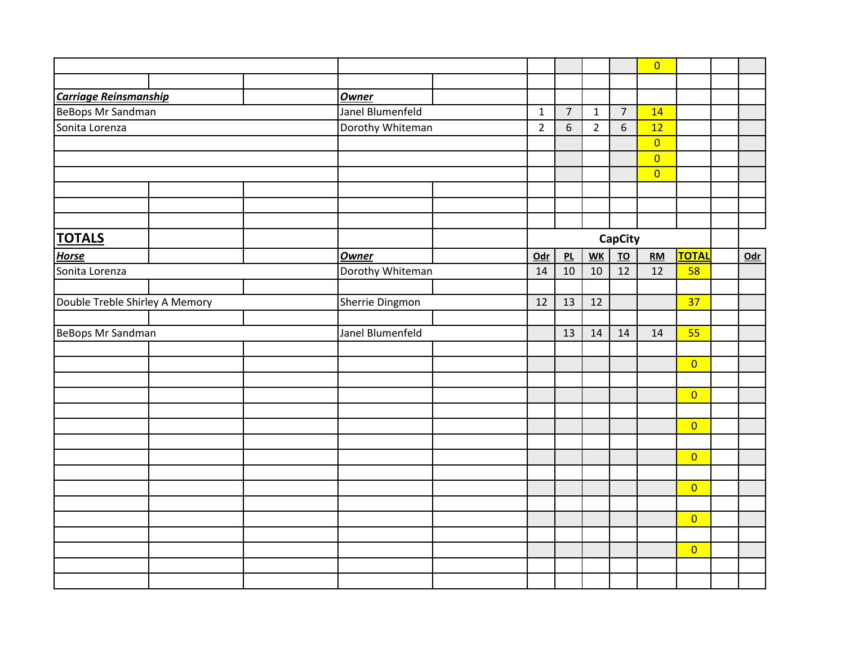|                                |  |                  |                |                  |                |                | $\overline{0}$          |                         |       |
|--------------------------------|--|------------------|----------------|------------------|----------------|----------------|-------------------------|-------------------------|-------|
|                                |  |                  |                |                  |                |                |                         |                         |       |
| Carriage Reinsmanship          |  | <b>Owner</b>     |                |                  |                |                |                         |                         |       |
| <b>BeBops Mr Sandman</b>       |  | Janel Blumenfeld | $\mathbf{1}$   | $\overline{7}$   | $\mathbf{1}$   | $\overline{7}$ | 14                      |                         |       |
| Sonita Lorenza                 |  | Dorothy Whiteman | $\overline{2}$ | $\boldsymbol{6}$ | $\overline{2}$ | $6\phantom{1}$ | 12                      |                         |       |
|                                |  |                  |                |                  |                |                | $\overline{\mathbf{0}}$ |                         |       |
|                                |  |                  |                |                  |                |                | $\overline{0}$          |                         |       |
|                                |  |                  |                |                  |                |                | $\overline{0}$          |                         |       |
|                                |  |                  |                |                  |                |                |                         |                         |       |
|                                |  |                  |                |                  |                |                |                         |                         |       |
|                                |  |                  |                |                  |                |                |                         |                         |       |
| <b>TOTALS</b>                  |  |                  |                |                  |                | <b>CapCity</b> |                         |                         |       |
|                                |  |                  |                |                  |                |                |                         |                         |       |
| <b>Horse</b>                   |  | <b>Owner</b>     | Odr            | PL               | WK             | <u>TO</u>      | <b>RM</b>               | <b>TOTAL</b>            | $Odr$ |
| Sonita Lorenza                 |  | Dorothy Whiteman | 14             | 10               | $10\,$         | 12             | 12                      | 58                      |       |
|                                |  |                  |                |                  |                |                |                         |                         |       |
| Double Treble Shirley A Memory |  | Sherrie Dingmon  | 12             | 13               | 12             |                |                         | 37                      |       |
|                                |  |                  |                |                  |                |                |                         |                         |       |
| BeBops Mr Sandman              |  | Janel Blumenfeld |                | 13               | 14             | 14             | 14                      | 55                      |       |
|                                |  |                  |                |                  |                |                |                         |                         |       |
|                                |  |                  |                |                  |                |                |                         | $\overline{\mathbf{0}}$ |       |
|                                |  |                  |                |                  |                |                |                         |                         |       |
|                                |  |                  |                |                  |                |                |                         | $\overline{0}$          |       |
|                                |  |                  |                |                  |                |                |                         |                         |       |
|                                |  |                  |                |                  |                |                |                         | $\overline{0}$          |       |
|                                |  |                  |                |                  |                |                |                         |                         |       |
|                                |  |                  |                |                  |                |                |                         | $\overline{0}$          |       |
|                                |  |                  |                |                  |                |                |                         |                         |       |
|                                |  |                  |                |                  |                |                |                         | $\overline{0}$          |       |
|                                |  |                  |                |                  |                |                |                         |                         |       |
|                                |  |                  |                |                  |                |                |                         | $\overline{0}$          |       |
|                                |  |                  |                |                  |                |                |                         |                         |       |
|                                |  |                  |                |                  |                |                |                         | $\overline{0}$          |       |
|                                |  |                  |                |                  |                |                |                         |                         |       |
|                                |  |                  |                |                  |                |                |                         |                         |       |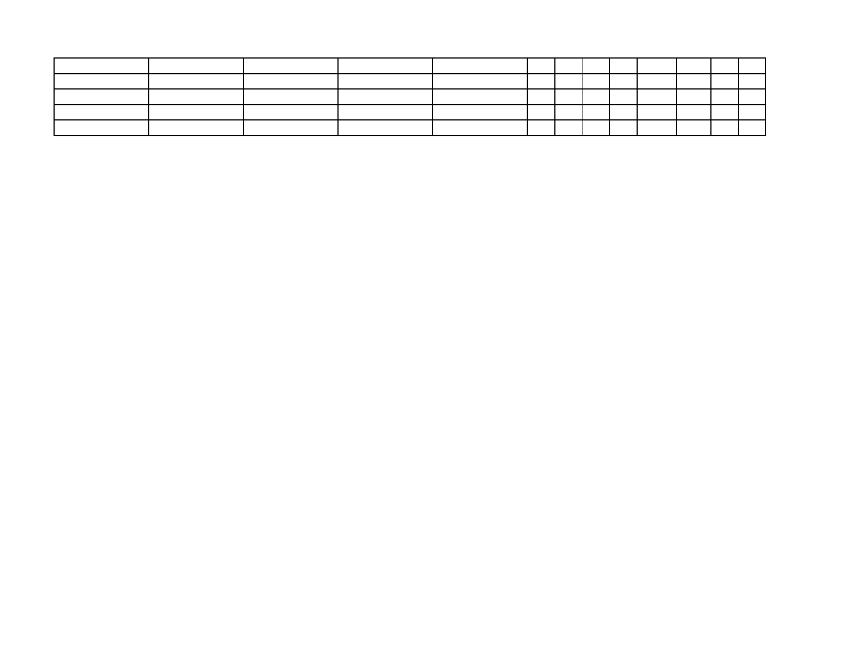| the contract of the contract of the contract of the contract of the contract of the contract of the contract of |                                                                                                                 | the contract of the contract of the contract of the contract of the contract of the contract of the contract of |  |  |  |                                                     |
|-----------------------------------------------------------------------------------------------------------------|-----------------------------------------------------------------------------------------------------------------|-----------------------------------------------------------------------------------------------------------------|--|--|--|-----------------------------------------------------|
|                                                                                                                 |                                                                                                                 |                                                                                                                 |  |  |  |                                                     |
|                                                                                                                 |                                                                                                                 |                                                                                                                 |  |  |  |                                                     |
|                                                                                                                 | the contract of the contract of the contract of the contract of the contract of the contract of the contract of | the contract of the contract of the contract of the contract of the contract of the contract of the contract of |  |  |  | and the contract of the contract of the contract of |
|                                                                                                                 |                                                                                                                 |                                                                                                                 |  |  |  |                                                     |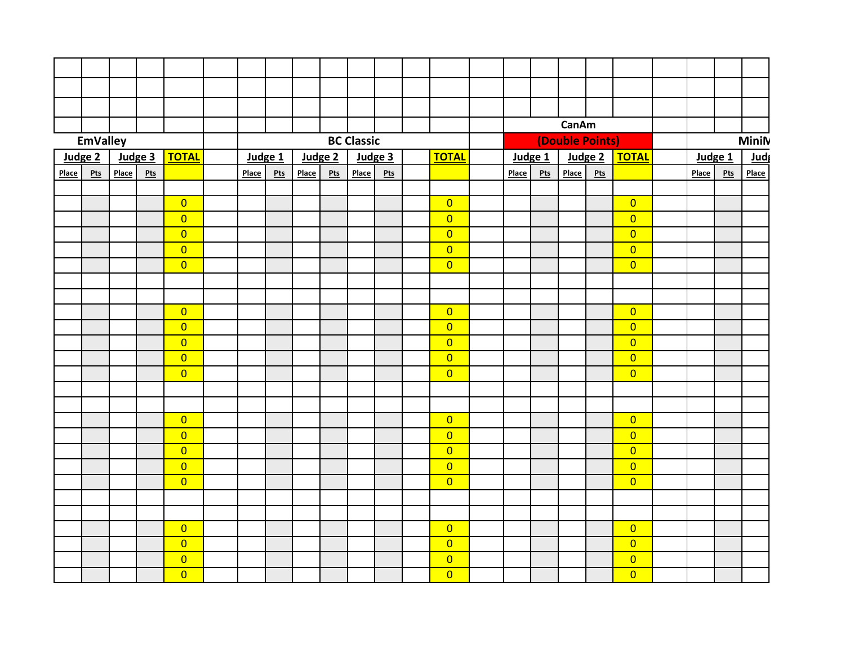|              |                 |       |         |                                  |              |         |       |         |                   |         |                                  |              |         | CanAm           |           |                                  |              |         |            |
|--------------|-----------------|-------|---------|----------------------------------|--------------|---------|-------|---------|-------------------|---------|----------------------------------|--------------|---------|-----------------|-----------|----------------------------------|--------------|---------|------------|
|              | <b>EmValley</b> |       |         |                                  |              |         |       |         | <b>BC Classic</b> |         |                                  |              |         | (Double Points) |           |                                  |              |         | MiniN      |
|              | Judge 2         |       | Judge 3 | <b>TOTAL</b>                     |              | Judge 1 |       | Judge 2 |                   | Judge 3 | <b>TOTAL</b>                     |              | Judge 1 |                 | Judge $2$ | <b>TOTAL</b>                     |              | Judge 1 | <b>Jud</b> |
| <b>Place</b> | Pts             | Place | Pts     |                                  | <b>Place</b> | Pts     | Place | Pts     | <b>Place</b>      | Pts     |                                  | <b>Place</b> | Pts     | Place           | Pts       |                                  | <b>Place</b> | Pts     | Place      |
|              |                 |       |         |                                  |              |         |       |         |                   |         |                                  |              |         |                 |           |                                  |              |         |            |
|              |                 |       |         | $\overline{0}$                   |              |         |       |         |                   |         | $\overline{0}$                   |              |         |                 |           | $\overline{0}$                   |              |         |            |
|              |                 |       |         | $\overline{0}$                   |              |         |       |         |                   |         | $\overline{0}$                   |              |         |                 |           | $\overline{0}$                   |              |         |            |
|              |                 |       |         | $\overline{0}$<br>$\overline{0}$ |              |         |       |         |                   |         | $\overline{0}$<br>$\overline{0}$ |              |         |                 |           | $\overline{0}$<br>$\overline{0}$ |              |         |            |
|              |                 |       |         | $\overline{0}$                   |              |         |       |         |                   |         | $\overline{0}$                   |              |         |                 |           | $\overline{0}$                   |              |         |            |
|              |                 |       |         |                                  |              |         |       |         |                   |         |                                  |              |         |                 |           |                                  |              |         |            |
|              |                 |       |         |                                  |              |         |       |         |                   |         |                                  |              |         |                 |           |                                  |              |         |            |
|              |                 |       |         | $\overline{0}$                   |              |         |       |         |                   |         | $\overline{0}$                   |              |         |                 |           | $\overline{0}$                   |              |         |            |
|              |                 |       |         | $\overline{0}$                   |              |         |       |         |                   |         | $\overline{0}$                   |              |         |                 |           | $\overline{0}$                   |              |         |            |
|              |                 |       |         | $\overline{0}$                   |              |         |       |         |                   |         | $\overline{0}$                   |              |         |                 |           | $\overline{0}$                   |              |         |            |
|              |                 |       |         | $\overline{0}$                   |              |         |       |         |                   |         | $\overline{0}$                   |              |         |                 |           | $\overline{0}$                   |              |         |            |
|              |                 |       |         | $\overline{0}$                   |              |         |       |         |                   |         | $\overline{0}$                   |              |         |                 |           | $\overline{0}$                   |              |         |            |
|              |                 |       |         |                                  |              |         |       |         |                   |         |                                  |              |         |                 |           |                                  |              |         |            |
|              |                 |       |         |                                  |              |         |       |         |                   |         |                                  |              |         |                 |           |                                  |              |         |            |
|              |                 |       |         | $\overline{0}$                   |              |         |       |         |                   |         | $\overline{0}$                   |              |         |                 |           | $\overline{0}$                   |              |         |            |
|              |                 |       |         | $\overline{0}$                   |              |         |       |         |                   |         | $\overline{0}$                   |              |         |                 |           | $\overline{0}$                   |              |         |            |
|              |                 |       |         | $\overline{0}$                   |              |         |       |         |                   |         | $\overline{0}$                   |              |         |                 |           | $\overline{0}$                   |              |         |            |
|              |                 |       |         | $\overline{0}$                   |              |         |       |         |                   |         | $\overline{0}$                   |              |         |                 |           | $\overline{0}$                   |              |         |            |
|              |                 |       |         | $\overline{0}$                   |              |         |       |         |                   |         | $\overline{0}$                   |              |         |                 |           | $\overline{0}$                   |              |         |            |
|              |                 |       |         |                                  |              |         |       |         |                   |         |                                  |              |         |                 |           |                                  |              |         |            |
|              |                 |       |         |                                  |              |         |       |         |                   |         |                                  |              |         |                 |           |                                  |              |         |            |
|              |                 |       |         | $\overline{0}$                   |              |         |       |         |                   |         | $\overline{0}$                   |              |         |                 |           | $\overline{0}$                   |              |         |            |
|              |                 |       |         | $\overline{0}$                   |              |         |       |         |                   |         | $\overline{0}$                   |              |         |                 |           | $\overline{0}$                   |              |         |            |
|              |                 |       |         | $\overline{0}$                   |              |         |       |         |                   |         | $\overline{0}$                   |              |         |                 |           | $\overline{0}$                   |              |         |            |
|              |                 |       |         | $\overline{0}$                   |              |         |       |         |                   |         | $\overline{0}$                   |              |         |                 |           | $\overline{0}$                   |              |         |            |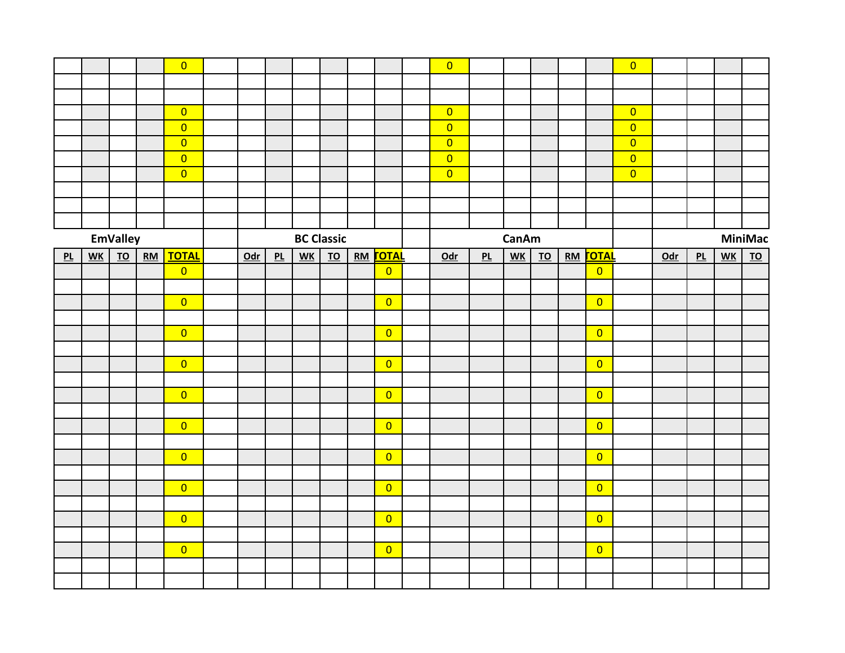|    |    |                  |                  | $\overline{0}$          |       |    |                          |                           |    |                | $\overline{0}$ |    |              |                           |    |                         | $\overline{\mathbf{0}}$ |       |    |                          |                |
|----|----|------------------|------------------|-------------------------|-------|----|--------------------------|---------------------------|----|----------------|----------------|----|--------------|---------------------------|----|-------------------------|-------------------------|-------|----|--------------------------|----------------|
|    |    |                  |                  |                         |       |    |                          |                           |    |                |                |    |              |                           |    |                         |                         |       |    |                          |                |
|    |    |                  |                  |                         |       |    |                          |                           |    |                |                |    |              |                           |    |                         |                         |       |    |                          |                |
|    |    |                  |                  | $\overline{0}$          |       |    |                          |                           |    |                | $\overline{0}$ |    |              |                           |    |                         | $\overline{0}$          |       |    |                          |                |
|    |    |                  |                  | $\overline{0}$          |       |    |                          |                           |    |                | $\overline{0}$ |    |              |                           |    |                         | $\overline{\mathbf{0}}$ |       |    |                          |                |
|    |    |                  |                  | $\overline{0}$          |       |    |                          |                           |    |                | $\overline{0}$ |    |              |                           |    |                         | $\overline{0}$          |       |    |                          |                |
|    |    |                  |                  | $\overline{0}$          |       |    |                          |                           |    |                | $\overline{0}$ |    |              |                           |    |                         | $\overline{\mathbf{0}}$ |       |    |                          |                |
|    |    |                  |                  | $\overline{0}$          |       |    |                          |                           |    |                | $\overline{0}$ |    |              |                           |    |                         | $\overline{0}$          |       |    |                          |                |
|    |    |                  |                  |                         |       |    |                          |                           |    |                |                |    |              |                           |    |                         |                         |       |    |                          |                |
|    |    |                  |                  |                         |       |    |                          |                           |    |                |                |    |              |                           |    |                         |                         |       |    |                          |                |
|    |    |                  |                  |                         |       |    |                          |                           |    |                |                |    |              |                           |    |                         |                         |       |    |                          |                |
|    |    | <b>EmValley</b>  |                  |                         |       |    |                          | <b>BC Classic</b>         |    |                |                |    | <b>CanAm</b> |                           |    |                         |                         |       |    |                          | <b>MiniMac</b> |
| PL | WK | $\underline{TO}$ | $\underline{RM}$ | <b>TOTAL</b>            | $Odr$ | PL | $\underline{\mathsf{w}}$ | $\underline{\mathbf{TO}}$ | RM | <b>TOTAL</b>   | $Odr$          | PL | WK           | $\underline{\mathbf{TO}}$ | RM | <u> IATOT</u>           |                         | $Odr$ | PL | $\underline{\mathsf{w}}$ | <u>TO</u>      |
|    |    |                  |                  | $\overline{0}$          |       |    |                          |                           |    | $\overline{0}$ |                |    |              |                           |    | $\overline{0}$          |                         |       |    |                          |                |
|    |    |                  |                  |                         |       |    |                          |                           |    |                |                |    |              |                           |    |                         |                         |       |    |                          |                |
|    |    |                  |                  | $\overline{0}$          |       |    |                          |                           |    | $\overline{0}$ |                |    |              |                           |    | $\overline{0}$          |                         |       |    |                          |                |
|    |    |                  |                  |                         |       |    |                          |                           |    |                |                |    |              |                           |    |                         |                         |       |    |                          |                |
|    |    |                  |                  | $\overline{\mathbf{0}}$ |       |    |                          |                           |    | $\overline{0}$ |                |    |              |                           |    | $\overline{0}$          |                         |       |    |                          |                |
|    |    |                  |                  |                         |       |    |                          |                           |    |                |                |    |              |                           |    |                         |                         |       |    |                          |                |
|    |    |                  |                  | $\overline{0}$          |       |    |                          |                           |    | $\overline{0}$ |                |    |              |                           |    | $\overline{0}$          |                         |       |    |                          |                |
|    |    |                  |                  |                         |       |    |                          |                           |    |                |                |    |              |                           |    |                         |                         |       |    |                          |                |
|    |    |                  |                  | $\overline{0}$          |       |    |                          |                           |    | $\overline{0}$ |                |    |              |                           |    | $\overline{0}$          |                         |       |    |                          |                |
|    |    |                  |                  |                         |       |    |                          |                           |    |                |                |    |              |                           |    |                         |                         |       |    |                          |                |
|    |    |                  |                  | $\overline{0}$          |       |    |                          |                           |    | $\overline{0}$ |                |    |              |                           |    | $\overline{0}$          |                         |       |    |                          |                |
|    |    |                  |                  | $\overline{0}$          |       |    |                          |                           |    | $\overline{0}$ |                |    |              |                           |    | $\overline{0}$          |                         |       |    |                          |                |
|    |    |                  |                  |                         |       |    |                          |                           |    |                |                |    |              |                           |    |                         |                         |       |    |                          |                |
|    |    |                  |                  | $\overline{0}$          |       |    |                          |                           |    | $\overline{0}$ |                |    |              |                           |    | $\overline{0}$          |                         |       |    |                          |                |
|    |    |                  |                  |                         |       |    |                          |                           |    |                |                |    |              |                           |    |                         |                         |       |    |                          |                |
|    |    |                  |                  | $\overline{0}$          |       |    |                          |                           |    | $\overline{0}$ |                |    |              |                           |    | $\overline{\mathbf{0}}$ |                         |       |    |                          |                |
|    |    |                  |                  |                         |       |    |                          |                           |    |                |                |    |              |                           |    |                         |                         |       |    |                          |                |
|    |    |                  |                  | $\overline{0}$          |       |    |                          |                           |    | $\overline{0}$ |                |    |              |                           |    | $\overline{0}$          |                         |       |    |                          |                |
|    |    |                  |                  |                         |       |    |                          |                           |    |                |                |    |              |                           |    |                         |                         |       |    |                          |                |
|    |    |                  |                  |                         |       |    |                          |                           |    |                |                |    |              |                           |    |                         |                         |       |    |                          |                |
|    |    |                  |                  |                         |       |    |                          |                           |    |                |                |    |              |                           |    |                         |                         |       |    |                          |                |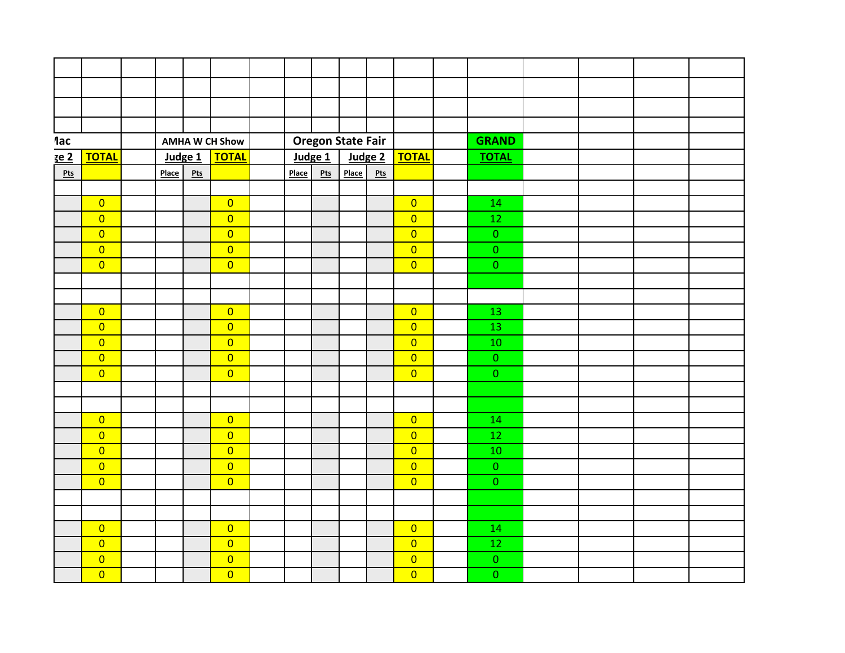| <b>lac</b>  |                |       |         | <b>AMHA W CH Show</b>   |       |         | <b>Oregon State Fair</b> |         |                         | <b>GRAND</b>    |  |  |
|-------------|----------------|-------|---------|-------------------------|-------|---------|--------------------------|---------|-------------------------|-----------------|--|--|
| <u>ge 2</u> | <b>TOTAL</b>   |       | Judge 1 | <b>TOTAL</b>            |       | Judge 1 |                          | Judge 2 | <b>TOTAL</b>            | <b>TOTAL</b>    |  |  |
| <u>Pts</u>  |                | Place | Pts     |                         | Place | Pts     | Place                    | Pts     |                         |                 |  |  |
|             |                |       |         |                         |       |         |                          |         |                         |                 |  |  |
|             | $\overline{0}$ |       |         | $\overline{0}$          |       |         |                          |         | $\overline{0}$          | 14              |  |  |
|             | $\overline{0}$ |       |         | $\overline{0}$          |       |         |                          |         | $\overline{0}$          | 12              |  |  |
|             | $\overline{0}$ |       |         | $\overline{0}$          |       |         |                          |         | $\overline{0}$          | $\overline{0}$  |  |  |
|             | $\overline{0}$ |       |         | $\overline{0}$          |       |         |                          |         | $\overline{0}$          | $\overline{0}$  |  |  |
|             | $\overline{0}$ |       |         | $\overline{0}$          |       |         |                          |         | $\overline{\mathbf{0}}$ | $\overline{0}$  |  |  |
|             |                |       |         |                         |       |         |                          |         |                         |                 |  |  |
|             |                |       |         |                         |       |         |                          |         |                         |                 |  |  |
|             | $\overline{0}$ |       |         | $\overline{0}$          |       |         |                          |         | $\overline{0}$          | 13              |  |  |
|             | $\overline{0}$ |       |         | $\overline{0}$          |       |         |                          |         | $\overline{0}$          | 13              |  |  |
|             | $\overline{0}$ |       |         | $\overline{0}$          |       |         |                          |         | $\overline{\mathbf{0}}$ | 10 <sup>°</sup> |  |  |
|             | $\overline{0}$ |       |         | $\overline{0}$          |       |         |                          |         | $\overline{0}$          | $\overline{0}$  |  |  |
|             | $\overline{0}$ |       |         | $\overline{0}$          |       |         |                          |         | $\overline{\mathbf{0}}$ | $\overline{0}$  |  |  |
|             |                |       |         |                         |       |         |                          |         |                         |                 |  |  |
|             |                |       |         |                         |       |         |                          |         |                         |                 |  |  |
|             | $\overline{0}$ |       |         | $\overline{0}$          |       |         |                          |         | $\overline{0}$          | 14              |  |  |
|             | $\overline{0}$ |       |         | $\overline{0}$          |       |         |                          |         | $\overline{0}$          | 12 <sup>7</sup> |  |  |
|             | $\overline{0}$ |       |         | $\overline{0}$          |       |         |                          |         | $\overline{\mathbf{0}}$ | 10 <sup>°</sup> |  |  |
|             | $\overline{0}$ |       |         | $\overline{0}$          |       |         |                          |         | $\overline{\mathbf{0}}$ | $\overline{0}$  |  |  |
|             | $\overline{0}$ |       |         | $\overline{0}$          |       |         |                          |         | $\overline{0}$          | $\overline{0}$  |  |  |
|             |                |       |         |                         |       |         |                          |         |                         |                 |  |  |
|             |                |       |         |                         |       |         |                          |         |                         |                 |  |  |
|             | $\overline{0}$ |       |         | $\overline{0}$          |       |         |                          |         | $\overline{0}$          | 14              |  |  |
|             | $\overline{0}$ |       |         | $\overline{0}$          |       |         |                          |         | $\overline{0}$          | 12 <sup>7</sup> |  |  |
|             | $\overline{0}$ |       |         | $\overline{0}$          |       |         |                          |         | $\overline{0}$          | $\overline{0}$  |  |  |
|             | $\overline{0}$ |       |         | $\overline{\mathbf{0}}$ |       |         |                          |         | $\overline{\mathbf{0}}$ | $\overline{0}$  |  |  |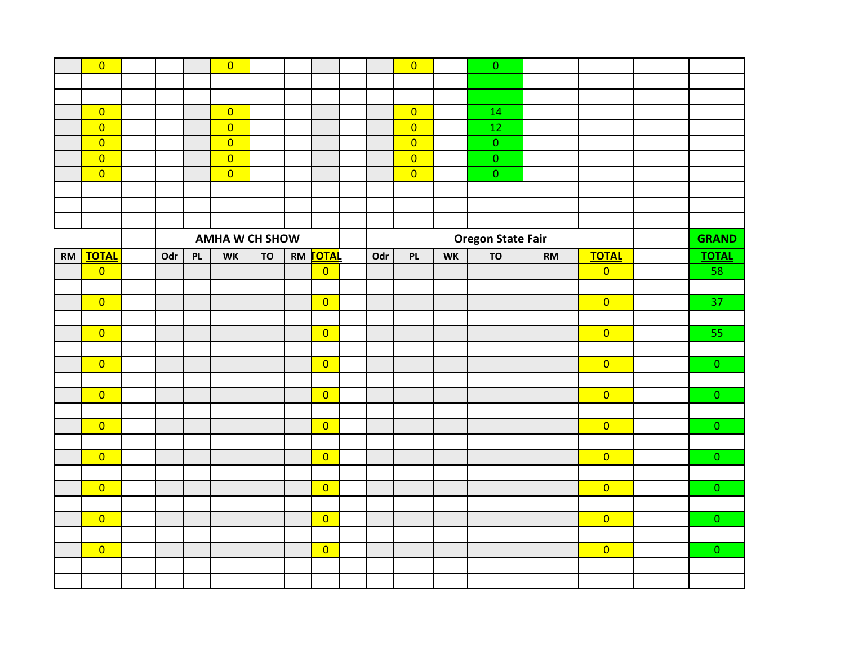|    | $\overline{0}$ |     |    | $\overline{0}$          |                           |    |                |     | $\overline{0}$          |    | $\mathbf 0$               |    |                         |                 |
|----|----------------|-----|----|-------------------------|---------------------------|----|----------------|-----|-------------------------|----|---------------------------|----|-------------------------|-----------------|
|    |                |     |    |                         |                           |    |                |     |                         |    |                           |    |                         |                 |
|    |                |     |    |                         |                           |    |                |     |                         |    |                           |    |                         |                 |
|    | $\overline{0}$ |     |    | $\overline{0}$          |                           |    |                |     | $\overline{0}$          |    | 14                        |    |                         |                 |
|    | $\overline{0}$ |     |    | $\overline{0}$          |                           |    |                |     | $\overline{0}$          |    | $12\,$                    |    |                         |                 |
|    | $\overline{0}$ |     |    | $\overline{0}$          |                           |    |                |     | $\overline{0}$          |    | $\mathbf 0$               |    |                         |                 |
|    | $\overline{0}$ |     |    | $\overline{\mathbf{0}}$ |                           |    |                |     | $\overline{\mathbf{0}}$ |    | $\mathbf 0$               |    |                         |                 |
|    | $\overline{0}$ |     |    | $\overline{0}$          |                           |    |                |     | $\overline{0}$          |    | $\overline{0}$            |    |                         |                 |
|    |                |     |    |                         |                           |    |                |     |                         |    |                           |    |                         |                 |
|    |                |     |    |                         |                           |    |                |     |                         |    |                           |    |                         |                 |
|    |                |     |    |                         |                           |    |                |     |                         |    |                           |    |                         |                 |
|    |                |     |    | <b>AMHA W CH SHOW</b>   |                           |    |                |     |                         |    | <b>Oregon State Fair</b>  |    |                         | <b>GRAND</b>    |
| RM | <b>TOTAL</b>   | $0$ | PL | WK                      | $\underline{\mathsf{TO}}$ | RM | <b>FOTAL</b>   | Odr | PL                      | WK | $\underline{\mathsf{TO}}$ | RM | <b>TOTAL</b>            | <b>TOTAL</b>    |
|    | $\overline{0}$ |     |    |                         |                           |    | $\overline{0}$ |     |                         |    |                           |    | $\overline{0}$          | 58              |
|    |                |     |    |                         |                           |    |                |     |                         |    |                           |    |                         |                 |
|    | $\overline{0}$ |     |    |                         |                           |    | $\overline{0}$ |     |                         |    |                           |    | $\overline{0}$          | $\overline{37}$ |
|    |                |     |    |                         |                           |    |                |     |                         |    |                           |    |                         |                 |
|    | $\overline{0}$ |     |    |                         |                           |    | $\overline{0}$ |     |                         |    |                           |    | $\overline{0}$          | 55              |
|    |                |     |    |                         |                           |    |                |     |                         |    |                           |    |                         |                 |
|    | $\overline{0}$ |     |    |                         |                           |    | $\overline{0}$ |     |                         |    |                           |    | $\overline{0}$          | $\overline{0}$  |
|    |                |     |    |                         |                           |    |                |     |                         |    |                           |    |                         |                 |
|    | $\overline{0}$ |     |    |                         |                           |    | $\overline{0}$ |     |                         |    |                           |    | $\overline{\mathbf{0}}$ | $\overline{0}$  |
|    | $\overline{0}$ |     |    |                         |                           |    | $\overline{0}$ |     |                         |    |                           |    | $\overline{\mathbf{0}}$ | $\overline{0}$  |
|    |                |     |    |                         |                           |    |                |     |                         |    |                           |    |                         |                 |
|    | $\overline{0}$ |     |    |                         |                           |    | $\overline{0}$ |     |                         |    |                           |    | $\overline{0}$          | $\overline{0}$  |
|    |                |     |    |                         |                           |    |                |     |                         |    |                           |    |                         |                 |
|    | $\overline{0}$ |     |    |                         |                           |    | $\overline{0}$ |     |                         |    |                           |    | $\overline{\mathbf{0}}$ | $\overline{0}$  |
|    |                |     |    |                         |                           |    |                |     |                         |    |                           |    |                         |                 |
|    | $\overline{0}$ |     |    |                         |                           |    | $\overline{0}$ |     |                         |    |                           |    | $\overline{0}$          | $\overline{0}$  |
|    |                |     |    |                         |                           |    |                |     |                         |    |                           |    |                         |                 |
|    | $\overline{0}$ |     |    |                         |                           |    | $\overline{0}$ |     |                         |    |                           |    | $\overline{0}$          | $\overline{0}$  |
|    |                |     |    |                         |                           |    |                |     |                         |    |                           |    |                         |                 |
|    |                |     |    |                         |                           |    |                |     |                         |    |                           |    |                         |                 |
|    |                |     |    |                         |                           |    |                |     |                         |    |                           |    |                         |                 |